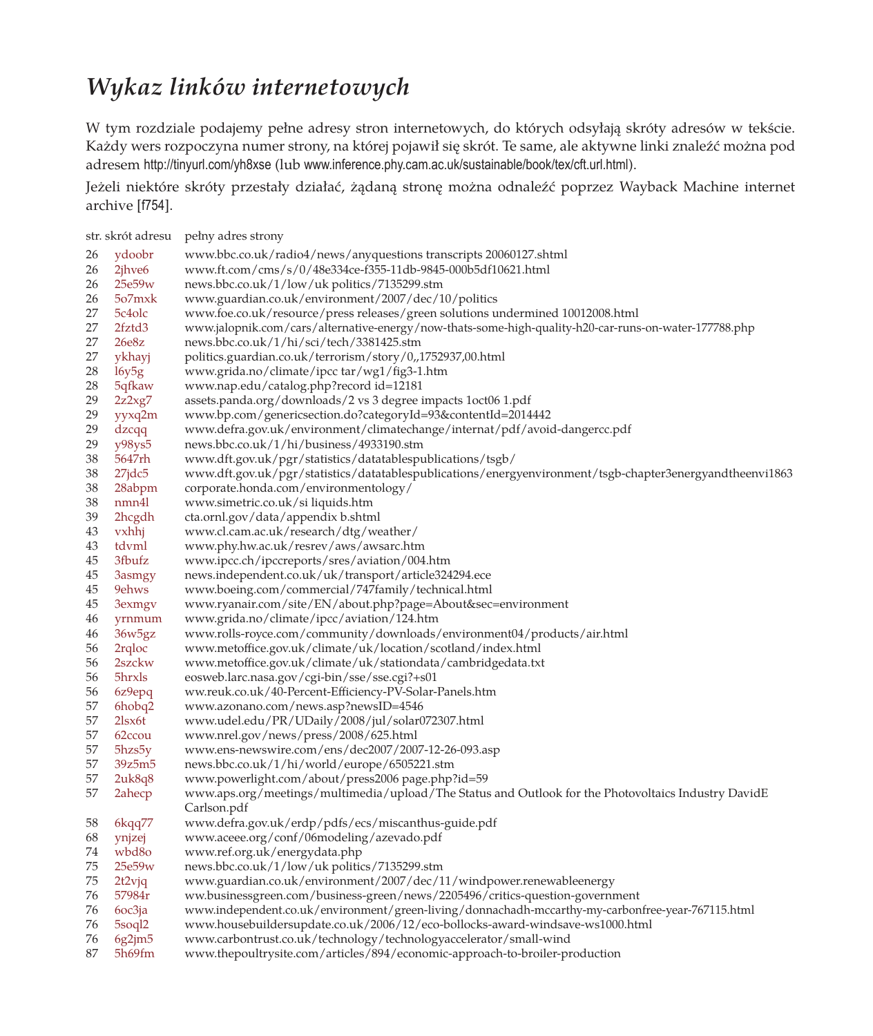## *Wykaz linków internetowych*

W tym rozdziale podajemy pełne adresy stron internetowych, do których odsyłają skróty adresów w tekście. Każdy wers rozpoczyna numer strony, na której pojawił się skrót. Te same, ale aktywne linki znaleźć można pod adresem http://tinyurl.com/yh8xse (lub www.inference.phy.cam.ac.uk/sustainable/book/tex/cft.url.html).

Jeżeli niektóre skróty przestały działać, żądaną stronę można odnaleźć poprzez Wayback Machine internet archive [f754].

| str. skrót adresu |                    | pełny adres strony                                                                                                 |
|-------------------|--------------------|--------------------------------------------------------------------------------------------------------------------|
| 26                | ydoobr             | www.bbc.co.uk/radio4/news/anyquestions transcripts 20060127.shtml                                                  |
| 26                | 2jhve6             | www.ft.com/cms/s/0/48e334ce-f355-11db-9845-000b5df10621.html                                                       |
| 26                | 25e59w             | news.bbc.co.uk/1/low/uk politics/7135299.stm                                                                       |
| 26                | 5o7mxk             | www.guardian.co.uk/environment/2007/dec/10/politics                                                                |
| 27                | 5c4olc             | www.foe.co.uk/resource/press releases/green solutions undermined 10012008.html                                     |
| 27                | 2fztd3             | www.jalopnik.com/cars/alternative-energy/now-thats-some-high-quality-h20-car-runs-on-water-177788.php              |
| 27                | 26e8z              | news.bbc.co.uk/1/hi/sci/tech/3381425.stm                                                                           |
| 27                | ykhayj             | politics.guardian.co.uk/terrorism/story/0,,1752937,00.html                                                         |
| 28                | 16y5g              | www.grida.no/climate/ipcc tar/wg1/fig3-1.htm                                                                       |
| 28                | 5qfkaw             | www.nap.edu/catalog.php?record id=12181                                                                            |
| 29                | 2z2xg7             | assets.panda.org/downloads/2 vs 3 degree impacts 1 oct06 1.pdf                                                     |
| 29                | yyxq2m             | www.bp.com/genericsection.do?categoryId=93&contentId=2014442                                                       |
| 29                | dzcqq              | www.defra.gov.uk/environment/climatechange/internat/pdf/avoid-dangercc.pdf                                         |
| 29                | $y98$ ys5          | news.bbc.co.uk/1/hi/business/4933190.stm                                                                           |
| 38                | 5647rh             | www.dft.gov.uk/pgr/statistics/datatablespublications/tsgb/                                                         |
| 38                | $27$ jdc $5$       | www.dft.gov.uk/pgr/statistics/datatablespublications/energyenvironment/tsgb-chapter3energyandtheenvi1863           |
| 38                | 28abpm             | corporate.honda.com/environmentology/                                                                              |
| 38                | nmn4l              | www.simetric.co.uk/si liquids.htm                                                                                  |
| 39                | 2hcgdh             | cta.ornl.gov/data/appendix b.shtml                                                                                 |
| 43                | yxhhj              | www.cl.cam.ac.uk/research/dtg/weather/                                                                             |
| 43                | tdvml              | www.phy.hw.ac.uk/resrev/aws/awsarc.htm                                                                             |
| 45                | 3fbufz             | www.ipcc.ch/ipccreports/sres/aviation/004.htm                                                                      |
| 45                | 3asmgy             | news.independent.co.uk/uk/transport/article324294.ece                                                              |
| 45                | 9ehws              | www.boeing.com/commercial/747family/technical.html                                                                 |
| 45                | 3exmgv             | www.ryanair.com/site/EN/about.php?page=About&sec=environment                                                       |
| 46                | yrnmum             | www.grida.no/climate/ipcc/aviation/124.htm                                                                         |
| 46                | 36w5gz             | www.rolls-royce.com/community/downloads/environment04/products/air.html                                            |
| 56                | 2rqloc             | www.metoffice.gov.uk/climate/uk/location/scotland/index.html                                                       |
| 56                | 2szckw             | www.metoffice.gov.uk/climate/uk/stationdata/cambridgedata.txt                                                      |
| 56                | 5hrxls             | eosweb.larc.nasa.gov/cgi-bin/sse/sse.cgi?+s01                                                                      |
| 56                | 6z9epq             | ww.reuk.co.uk/40-Percent-Efficiency-PV-Solar-Panels.htm                                                            |
| 57                | 6hobq2             | www.azonano.com/news.asp?newsID=4546                                                                               |
| 57                | 2lsx <sub>6t</sub> | www.udel.edu/PR/UDaily/2008/jul/solar072307.html                                                                   |
| 57                | 62ccou             | www.nrel.gov/news/press/2008/625.html                                                                              |
| 57                | 5hzs5y             | www.ens-newswire.com/ens/dec2007/2007-12-26-093.asp                                                                |
| 57                | 39z5m5             | news.bbc.co.uk/1/hi/world/europe/6505221.stm                                                                       |
| 57                | 2u <sub>k8q8</sub> | www.powerlight.com/about/press2006 page.php?id=59                                                                  |
| 57                | 2ahecp             | www.aps.org/meetings/multimedia/upload/The Status and Outlook for the Photovoltaics Industry DavidE<br>Carlson.pdf |
| 58                | 6kqq77             | www.defra.gov.uk/erdp/pdfs/ecs/miscanthus-guide.pdf                                                                |
| 68                | ynjzej             | www.aceee.org/conf/06modeling/azevado.pdf                                                                          |
| 74                | wbd80              | www.ref.org.uk/energydata.php                                                                                      |
| 75                | 25e59w             | news.bbc.co.uk/1/low/uk politics/7135299.stm                                                                       |
| 75                | 2t2vjq             | www.guardian.co.uk/environment/2007/dec/11/windpower.renewableenergy                                               |
| 76                | 57984r             | ww.businessgreen.com/business-green/news/2205496/critics-question-government                                       |
| 76                | 6oc3ja             | www.independent.co.uk/environment/green-living/donnachadh-mccarthy-my-carbonfree-year-767115.html                  |
| 76                | 5soql <sub>2</sub> | www.housebuildersupdate.co.uk/2006/12/eco-bollocks-award-windsave-ws1000.html                                      |
| 76                | 6g2jm5             | www.carbontrust.co.uk/technology/technologyaccelerator/small-wind                                                  |
|                   |                    |                                                                                                                    |

87 5h69fm www.thepoultrysite.com/articles/894/economic-approach-to-broiler-production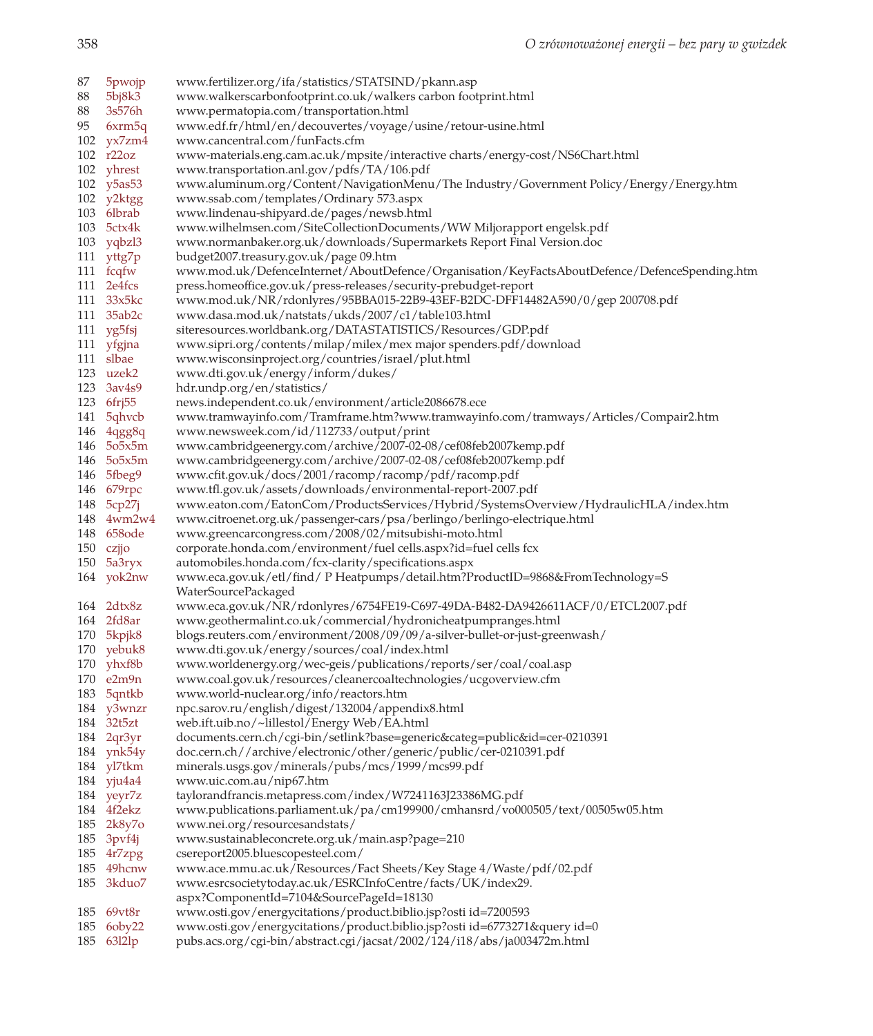87 5pwojp www.fertilizer.org/ifa/statistics/STATSIND/pkann.asp 88 5bj8k3 www.walkerscarbonfootprint.co.uk/walkers carbon footprint.html 88 3s576h www.permatopia.com/transportation.html 95 6xrm5q www.edf.fr/html/en/decouvertes/voyage/usine/retour-usine.html 102 yx7zm4 www.cancentral.com/funFacts.cfm 102 r22oz www-materials.eng.cam.ac.uk/mpsite/interactive charts/energy-cost/NS6Chart.html 102 yhrest www.transportation.anl.gov/pdfs/TA/106.pdf 102 y5as53 www.aluminum.org/Content/NavigationMenu/The Industry/Government Policy/Energy/Energy.htm 102 y2ktgg www.ssab.com/templates/Ordinary 573.aspx 103 6lbrab www.lindenau-shipyard.de/pages/newsb.html 103 5ctx4k www.wilhelmsen.com/SiteCollectionDocuments/WW Miljorapport engelsk.pdf 103 yqbzl3 www.normanbaker.org.uk/downloads/Supermarkets Report Final Version.doc 111 yttg7p budget2007.treasury.gov.uk/page 09.htm 111 fcqfw www.mod.uk/DefenceInternet/AboutDefence/Organisation/KeyFactsAboutDefence/DefenceSpending.htm 111 2e4fcs press.homeoffice.gov.uk/press-releases/security-prebudget-report 111 33x5kc www.mod.uk/NR/rdonlyres/95BBA015-22B9-43EF-B2DC-DFF14482A590/0/gep 200708.pdf 111 35ab2c www.dasa.mod.uk/natstats/ukds/2007/c1/table103.html 111 yg5fsj siteresources.worldbank.org/DATASTATISTICS/Resources/GDP.pdf 111 yfgjna www.sipri.org/contents/milap/milex/mex major spenders.pdf/download 111 slbae www.wisconsinproject.org/countries/israel/plut.html 123 uzek2 www.dti.gov.uk/energy/inform/dukes/ 123 3av4s9 hdr.undp.org/en/statistics/ 123 6frj55 news.independent.co.uk/environment/article2086678.ece 141 5qhvcb www.tramwayinfo.com/Tramframe.htm?www.tramwayinfo.com/tramways/Articles/Compair2.htm 146 4qgg8q www.newsweek.com/id/112733/output/print 146 5o5x5m www.cambridgeenergy.com/archive/2007-02-08/cef08feb2007kemp.pdf 146 5o5x5m www.cambridgeenergy.com/archive/2007-02-08/cef08feb2007kemp.pdf 146 5fbeg9 www.cfit.gov.uk/docs/2001/racomp/racomp/pdf/racomp.pdf 146 679rpc www.tfl.gov.uk/assets/downloads/environmental-report-2007.pdf 148 5cp27j www.eaton.com/EatonCom/ProductsServices/Hybrid/SystemsOverview/HydraulicHLA/index.htm 148 4wm2w4 www.citroenet.org.uk/passenger-cars/psa/berlingo/berlingo-electrique.html 148 658ode www.greencarcongress.com/2008/02/mitsubishi-moto.html 150 czjjo corporate.honda.com/environment/fuel cells.aspx?id=fuel cells fcx 150 5a3ryx automobiles.honda.com/fcx-clarity/specifications.aspx 164 yok2nw www.eca.gov.uk/etl/find/ P Heatpumps/detail.htm?ProductID=9868&FromTechnology=S WaterSourcePackaged 164 2dtx8z www.eca.gov.uk/NR/rdonlyres/6754FE19-C697-49DA-B482-DA9426611ACF/0/ETCL2007.pdf 164 2fd8ar www.geothermalint.co.uk/commercial/hydronicheatpumpranges.html 170 5kpjk8 blogs.reuters.com/environment/2008/09/09/a-silver-bullet-or-just-greenwash/ 170 yebuk8 www.dti.gov.uk/energy/sources/coal/index.html 170 yhxf8b www.worldenergy.org/wec-geis/publications/reports/ser/coal/coal.asp 170 e2m9n www.coal.gov.uk/resources/cleanercoaltechnologies/ucgoverview.cfm 183 5qntkb www.world-nuclear.org/info/reactors.htm 184 y3wnzr npc.sarov.ru/english/digest/132004/appendix8.html 184 32t5zt web.ift.uib.no/~lillestol/Energy Web/EA.html 184 2qr3yr documents.cern.ch/cgi-bin/setlink?base=generic&categ=public&id=cer-0210391 184 ynk54y doc.cern.ch//archive/electronic/other/generic/public/cer-0210391.pdf 184 yl7tkm minerals.usgs.gov/minerals/pubs/mcs/1999/mcs99.pdf 184 yju4a4 www.uic.com.au/nip67.htm 184 yeyr7z taylorandfrancis.metapress.com/index/W7241163J23386MG.pdf 184 4f2ekz www.publications.parliament.uk/pa/cm199900/cmhansrd/vo000505/text/00505w05.htm 185 2k8y7o www.nei.org/resourcesandstats/ 185 3pvf4j www.sustainableconcrete.org.uk/main.asp?page=210 185 4r7zpg csereport2005.bluescopesteel.com/ 185 49hcnw www.ace.mmu.ac.uk/Resources/Fact Sheets/Key Stage 4/Waste/pdf/02.pdf 185 3kduo7 www.esrcsocietytoday.ac.uk/ESRCInfoCentre/facts/UK/index29. aspx?ComponentId=7104&SourcePageId=18130 185 69vt8r www.osti.gov/energycitations/product.biblio.jsp?osti id=7200593 185 6oby22 www.osti.gov/energycitations/product.biblio.jsp?osti id=6773271&query id=0 185 63l2lp pubs.acs.org/cgi-bin/abstract.cgi/jacsat/2002/124/i18/abs/ja003472m.html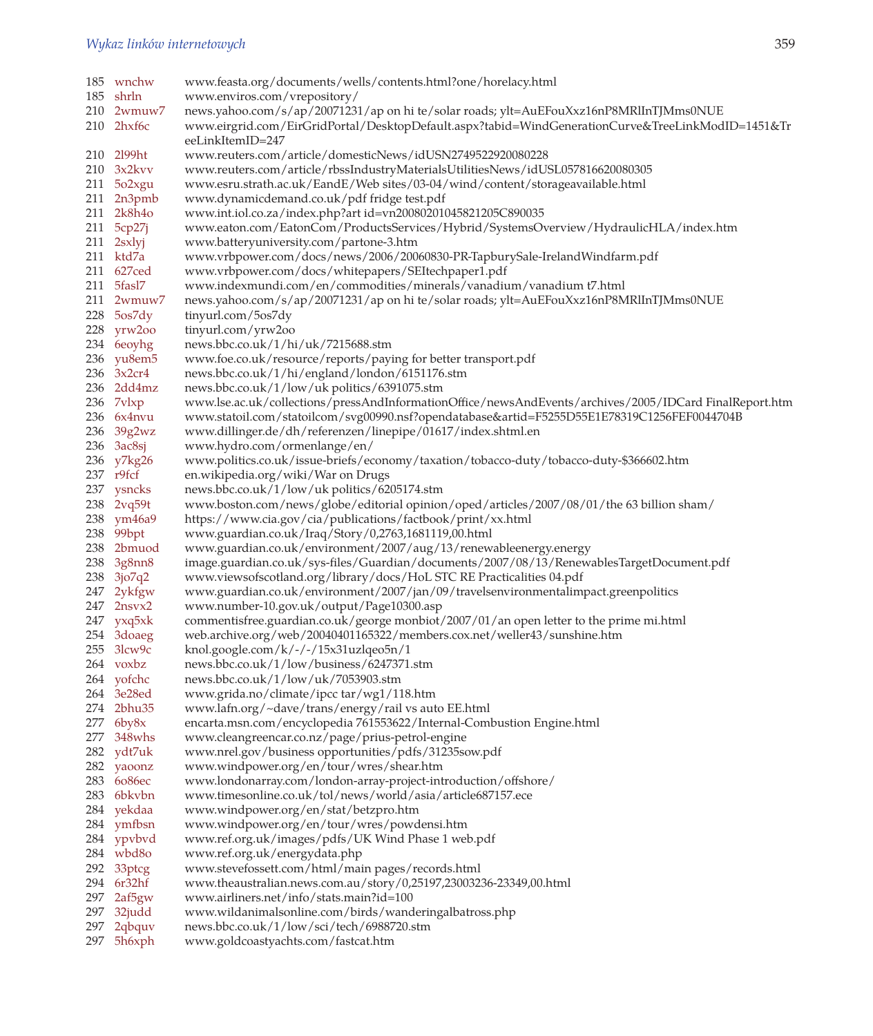| 185 wnchw          | www.feasta.org/documents/wells/contents.html?one/horelacy.html                                                                   |
|--------------------|----------------------------------------------------------------------------------------------------------------------------------|
| 185 shrln          | www.enviros.com/vrepository/                                                                                                     |
| 210 2wmuw7         | news.yahoo.com/s/ap/20071231/ap on hi te/solar roads; ylt=AuEFouXxz16nP8MRlInTJMms0NUE                                           |
| $210$ 2 $h$ xf6c   | www.eirgrid.com/EirGridPortal/DesktopDefault.aspx?tabid=WindGenerationCurve&TreeLinkModID=1451&Tr<br>eeLinkItemID=247            |
| 210 2199ht         | www.reuters.com/article/domesticNews/idUSN2749522920080228                                                                       |
| 210 3x2kvv         | www.reuters.com/article/rbssIndustryMaterialsUtilitiesNews/idUSL057816620080305                                                  |
| $211\quad 502$ xgu | www.esru.strath.ac.uk/EandE/Web sites/03-04/wind/content/storageavailable.html                                                   |
| $211$ $2n3pmb$     | www.dynamicdemand.co.uk/pdf fridge test.pdf                                                                                      |
| 211 2k8h4o         | www.int.iol.co.za/index.php?art id=vn20080201045821205C890035                                                                    |
|                    |                                                                                                                                  |
| 211 5cp27j         | www.eaton.com/EatonCom/ProductsServices/Hybrid/SystemsOverview/HydraulicHLA/index.htm<br>www.batteryuniversity.com/partone-3.htm |
| $211$ 2sxlyj       |                                                                                                                                  |
| 211 ktd7a          | www.vrbpower.com/docs/news/2006/20060830-PR-TapburySale-IrelandWindfarm.pdf                                                      |
| 211 627ced         | www.vrbpower.com/docs/whitepapers/SEItechpaper1.pdf                                                                              |
| 211 5fasl7         | www.indexmundi.com/en/commodities/minerals/vanadium/vanadium t7.html                                                             |
| 211 2wmuw7         | news.yahoo.com/s/ap/20071231/ap on hi te/solar roads; ylt=AuEFouXxz16nP8MRlInTJMms0NUE                                           |
| $228$ 5 $os7dy$    | tinyurl.com/5os7dy                                                                                                               |
| 228 yrw2oo         | tinyurl.com/yrw2oo                                                                                                               |
| 234 6eoyhg         | news.bbc.co.uk/1/hi/uk/7215688.stm                                                                                               |
| 236 yu8em5         | www.foe.co.uk/resource/reports/paying for better transport.pdf                                                                   |
| 236 3x2cr4         | news.bbc.co.uk/1/hi/england/london/6151176.stm                                                                                   |
| 236 2dd4mz         | news.bbc.co.uk/1/low/uk politics/6391075.stm                                                                                     |
| 236 7vlxp          | www.lse.ac.uk/collections/pressAndInformationOffice/newsAndEvents/archives/2005/IDCard FinalReport.htm                           |
| 236 6x4nvu         | www.statoil.com/statoilcom/svg00990.nsf?opendatabase&artid=F5255D55E1E78319C1256FEF0044704B                                      |
| 236 39g2wz         | www.dillinger.de/dh/referenzen/linepipe/01617/index.shtml.en                                                                     |
| $236 \quad 3ac8sj$ | www.hydro.com/ormenlange/en/                                                                                                     |
| 236 y7kg26         | www.politics.co.uk/issue-briefs/economy/taxation/tobacco-duty/tobacco-duty-\$366602.htm                                          |
| 237 r9fcf          | en.wikipedia.org/wiki/War on Drugs                                                                                               |
| 237 ysncks         | news.bbc.co.uk/1/low/uk politics/6205174.stm                                                                                     |
| 238 2vq59t         |                                                                                                                                  |
|                    | www.boston.com/news/globe/editorial opinion/oped/articles/2007/08/01/the 63 billion sham/                                        |
| 238 ym46a9         | https://www.cia.gov/cia/publications/factbook/print/xx.html                                                                      |
| 238 99bpt          | www.guardian.co.uk/Iraq/Story/0,2763,1681119,00.html                                                                             |
| 238 2bmuod         | www.guardian.co.uk/environment/2007/aug/13/renewableenergy.energy                                                                |
| 238 3g8nn8         | image.guardian.co.uk/sys-files/Guardian/documents/2007/08/13/RenewablesTargetDocument.pdf                                        |
| 238 3jo7q2         | www.viewsofscotland.org/library/docs/HoL STC RE Practicalities 04.pdf                                                            |
| 247 2ykfgw         | www.guardian.co.uk/environment/2007/jan/09/travelsenvironmentalimpact.greenpolitics                                              |
| 247 2nsvx2         | www.number-10.gov.uk/output/Page10300.asp                                                                                        |
| 247 yxq5xk         | commentisfree.guardian.co.uk/george monbiot/2007/01/an open letter to the prime mi.html                                          |
| 254 3doaeg         | web.archive.org/web/20040401165322/members.cox.net/weller43/sunshine.htm                                                         |
| $255$ 3lcw9c       | knol.google.com/k/-/-/15x31uzlqeo5n/1                                                                                            |
| 264 voxbz          | news.bbc.co.uk/1/low/business/6247371.stm                                                                                        |
| 264 yofchc         | news.bbc.co.uk/1/low/uk/7053903.stm                                                                                              |
| 264 3e28ed         | www.grida.no/climate/ipcc tar/wg1/118.htm                                                                                        |
| 274 2bhu35         | www.lafn.org/~dave/trans/energy/rail vs auto EE.html                                                                             |
| $277$ 6by8x        | encarta.msn.com/encyclopedia 761553622/Internal-Combustion Engine.html                                                           |
| 277 348whs         | www.cleangreencar.co.nz/page/prius-petrol-engine                                                                                 |
| 282 ydt7uk         | www.nrel.gov/business opportunities/pdfs/31235sow.pdf                                                                            |
| 282 yaoonz         | www.windpower.org/en/tour/wres/shear.htm                                                                                         |
| 283 6086ес         | www.londonarray.com/london-array-project-introduction/offshore/                                                                  |
| 283 6bkvbn         | www.timesonline.co.uk/tol/news/world/asia/article687157.ece                                                                      |
| 284 yekdaa         | www.windpower.org/en/stat/betzpro.htm                                                                                            |
| 284 ymfbsn         |                                                                                                                                  |
| 284 ypvbvd         | www.windpower.org/en/tour/wres/powdensi.htm                                                                                      |
|                    | www.ref.org.uk/images/pdfs/UK Wind Phase 1 web.pdf                                                                               |
| 284 wbd8o          | www.ref.org.uk/energydata.php                                                                                                    |
| 292 33ptcg         | www.stevefossett.com/html/main pages/records.html                                                                                |
| 294 6r32hf         | www.theaustralian.news.com.au/story/0,25197,23003236-23349,00.html                                                               |
| 297 2af5gw         | www.airliners.net/info/stats.main?id=100                                                                                         |
| 297 32judd         | www.wildanimalsonline.com/birds/wanderingalbatross.php                                                                           |
| 297 2qbquv         | news.bbc.co.uk/1/low/sci/tech/6988720.stm                                                                                        |
| 297 5h6xph         | www.goldcoastyachts.com/fastcat.htm                                                                                              |